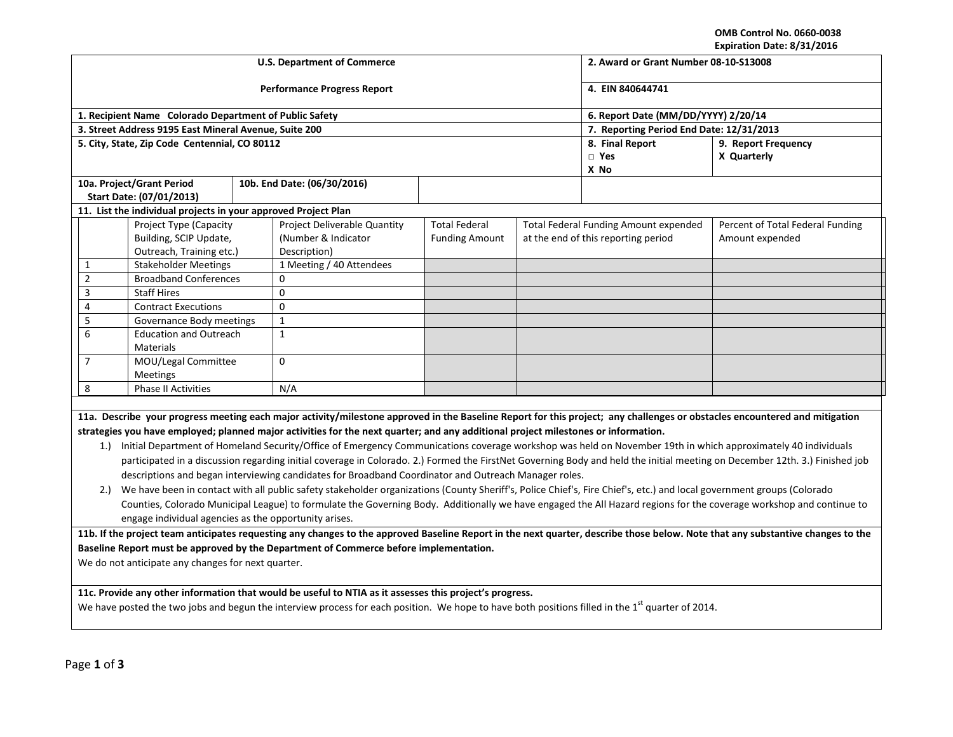**OMB Control No. 0660-0038 Expiration Date: 8/31/2016**

|                                                                                                                                                                                                                                                                                                                                                                                                                                                                                                                                                                                                                                                                                                                                                                                                                                                                                                                                                                                                                                                                                                                                                                                             |                                                                                     |  | <b>U.S. Department of Commerce</b>                                  | LADII GUUN DALC. 0/31/2010<br>2. Award or Grant Number 08-10-S13008 |                                                                                     |                                          |                                                                                                                                                                                 |  |  |
|---------------------------------------------------------------------------------------------------------------------------------------------------------------------------------------------------------------------------------------------------------------------------------------------------------------------------------------------------------------------------------------------------------------------------------------------------------------------------------------------------------------------------------------------------------------------------------------------------------------------------------------------------------------------------------------------------------------------------------------------------------------------------------------------------------------------------------------------------------------------------------------------------------------------------------------------------------------------------------------------------------------------------------------------------------------------------------------------------------------------------------------------------------------------------------------------|-------------------------------------------------------------------------------------|--|---------------------------------------------------------------------|---------------------------------------------------------------------|-------------------------------------------------------------------------------------|------------------------------------------|---------------------------------------------------------------------------------------------------------------------------------------------------------------------------------|--|--|
|                                                                                                                                                                                                                                                                                                                                                                                                                                                                                                                                                                                                                                                                                                                                                                                                                                                                                                                                                                                                                                                                                                                                                                                             |                                                                                     |  | <b>Performance Progress Report</b>                                  | 4. EIN 840644741                                                    |                                                                                     |                                          |                                                                                                                                                                                 |  |  |
|                                                                                                                                                                                                                                                                                                                                                                                                                                                                                                                                                                                                                                                                                                                                                                                                                                                                                                                                                                                                                                                                                                                                                                                             | 1. Recipient Name Colorado Department of Public Safety                              |  |                                                                     |                                                                     |                                                                                     |                                          | 6. Report Date (MM/DD/YYYY) 2/20/14                                                                                                                                             |  |  |
|                                                                                                                                                                                                                                                                                                                                                                                                                                                                                                                                                                                                                                                                                                                                                                                                                                                                                                                                                                                                                                                                                                                                                                                             | 3. Street Address 9195 East Mineral Avenue, Suite 200                               |  |                                                                     |                                                                     |                                                                                     | 7. Reporting Period End Date: 12/31/2013 |                                                                                                                                                                                 |  |  |
| 5. City, State, Zip Code Centennial, CO 80112                                                                                                                                                                                                                                                                                                                                                                                                                                                                                                                                                                                                                                                                                                                                                                                                                                                                                                                                                                                                                                                                                                                                               |                                                                                     |  |                                                                     |                                                                     |                                                                                     | 8. Final Report<br>$\Box$ Yes<br>X No    | 9. Report Frequency<br>X Quarterly                                                                                                                                              |  |  |
|                                                                                                                                                                                                                                                                                                                                                                                                                                                                                                                                                                                                                                                                                                                                                                                                                                                                                                                                                                                                                                                                                                                                                                                             | 10a. Project/Grant Period                                                           |  | 10b. End Date: (06/30/2016)                                         |                                                                     |                                                                                     |                                          |                                                                                                                                                                                 |  |  |
|                                                                                                                                                                                                                                                                                                                                                                                                                                                                                                                                                                                                                                                                                                                                                                                                                                                                                                                                                                                                                                                                                                                                                                                             | Start Date: (07/01/2013)                                                            |  |                                                                     |                                                                     |                                                                                     |                                          |                                                                                                                                                                                 |  |  |
|                                                                                                                                                                                                                                                                                                                                                                                                                                                                                                                                                                                                                                                                                                                                                                                                                                                                                                                                                                                                                                                                                                                                                                                             | 11. List the individual projects in your approved Project Plan                      |  |                                                                     |                                                                     |                                                                                     |                                          |                                                                                                                                                                                 |  |  |
|                                                                                                                                                                                                                                                                                                                                                                                                                                                                                                                                                                                                                                                                                                                                                                                                                                                                                                                                                                                                                                                                                                                                                                                             | <b>Project Type (Capacity</b><br>Building, SCIP Update,<br>Outreach, Training etc.) |  | Project Deliverable Quantity<br>(Number & Indicator<br>Description) | <b>Total Federal</b><br><b>Funding Amount</b>                       | <b>Total Federal Funding Amount expended</b><br>at the end of this reporting period |                                          | Percent of Total Federal Funding<br>Amount expended                                                                                                                             |  |  |
| 1                                                                                                                                                                                                                                                                                                                                                                                                                                                                                                                                                                                                                                                                                                                                                                                                                                                                                                                                                                                                                                                                                                                                                                                           | <b>Stakeholder Meetings</b>                                                         |  | 1 Meeting / 40 Attendees                                            |                                                                     |                                                                                     |                                          |                                                                                                                                                                                 |  |  |
| $\overline{2}$                                                                                                                                                                                                                                                                                                                                                                                                                                                                                                                                                                                                                                                                                                                                                                                                                                                                                                                                                                                                                                                                                                                                                                              | <b>Broadband Conferences</b>                                                        |  | $\Omega$                                                            |                                                                     |                                                                                     |                                          |                                                                                                                                                                                 |  |  |
| 3                                                                                                                                                                                                                                                                                                                                                                                                                                                                                                                                                                                                                                                                                                                                                                                                                                                                                                                                                                                                                                                                                                                                                                                           | <b>Staff Hires</b>                                                                  |  | $\mathbf 0$                                                         |                                                                     |                                                                                     |                                          |                                                                                                                                                                                 |  |  |
| 4                                                                                                                                                                                                                                                                                                                                                                                                                                                                                                                                                                                                                                                                                                                                                                                                                                                                                                                                                                                                                                                                                                                                                                                           | <b>Contract Executions</b>                                                          |  | $\mathbf 0$                                                         |                                                                     |                                                                                     |                                          |                                                                                                                                                                                 |  |  |
| 5                                                                                                                                                                                                                                                                                                                                                                                                                                                                                                                                                                                                                                                                                                                                                                                                                                                                                                                                                                                                                                                                                                                                                                                           | Governance Body meetings                                                            |  | $\mathbf{1}$                                                        |                                                                     |                                                                                     |                                          |                                                                                                                                                                                 |  |  |
| 6                                                                                                                                                                                                                                                                                                                                                                                                                                                                                                                                                                                                                                                                                                                                                                                                                                                                                                                                                                                                                                                                                                                                                                                           | <b>Education and Outreach</b><br>Materials                                          |  | $\mathbf{1}$                                                        |                                                                     |                                                                                     |                                          |                                                                                                                                                                                 |  |  |
| $\overline{7}$                                                                                                                                                                                                                                                                                                                                                                                                                                                                                                                                                                                                                                                                                                                                                                                                                                                                                                                                                                                                                                                                                                                                                                              | MOU/Legal Committee<br>Meetings                                                     |  | $\Omega$                                                            |                                                                     |                                                                                     |                                          |                                                                                                                                                                                 |  |  |
| 8                                                                                                                                                                                                                                                                                                                                                                                                                                                                                                                                                                                                                                                                                                                                                                                                                                                                                                                                                                                                                                                                                                                                                                                           | <b>Phase II Activities</b>                                                          |  | N/A                                                                 |                                                                     |                                                                                     |                                          |                                                                                                                                                                                 |  |  |
| 11a. Describe your progress meeting each major activity/milestone approved in the Baseline Report for this project; any challenges or obstacles encountered and mitigation<br>strategies you have employed; planned major activities for the next quarter; and any additional project milestones or information.<br>1.) Initial Department of Homeland Security/Office of Emergency Communications coverage workshop was held on November 19th in which approximately 40 individuals<br>participated in a discussion regarding initial coverage in Colorado. 2.) Formed the FirstNet Governing Body and held the initial meeting on December 12th. 3.) Finished job<br>descriptions and began interviewing candidates for Broadband Coordinator and Outreach Manager roles.<br>We have been in contact with all public safety stakeholder organizations (County Sheriff's, Police Chief's, Fire Chief's, etc.) and local government groups (Colorado<br>2.)<br>Counties, Colorado Municipal League) to formulate the Governing Body. Additionally we have engaged the All Hazard regions for the coverage workshop and continue to<br>engage individual agencies as the opportunity arises. |                                                                                     |  |                                                                     |                                                                     |                                                                                     |                                          |                                                                                                                                                                                 |  |  |
|                                                                                                                                                                                                                                                                                                                                                                                                                                                                                                                                                                                                                                                                                                                                                                                                                                                                                                                                                                                                                                                                                                                                                                                             |                                                                                     |  |                                                                     |                                                                     |                                                                                     |                                          | 11b. If the project team anticipates requesting any changes to the approved Baseline Report in the next quarter, describe those below. Note that any substantive changes to the |  |  |
| Baseline Report must be approved by the Department of Commerce before implementation.<br>We do not anticipate any changes for next quarter.                                                                                                                                                                                                                                                                                                                                                                                                                                                                                                                                                                                                                                                                                                                                                                                                                                                                                                                                                                                                                                                 |                                                                                     |  |                                                                     |                                                                     |                                                                                     |                                          |                                                                                                                                                                                 |  |  |
| 11c. Provide any other information that would be useful to NTIA as it assesses this project's progress.<br>We have posted the two jobs and begun the interview process for each position. We hope to have both positions filled in the 1 <sup>st</sup> quarter of 2014.                                                                                                                                                                                                                                                                                                                                                                                                                                                                                                                                                                                                                                                                                                                                                                                                                                                                                                                     |                                                                                     |  |                                                                     |                                                                     |                                                                                     |                                          |                                                                                                                                                                                 |  |  |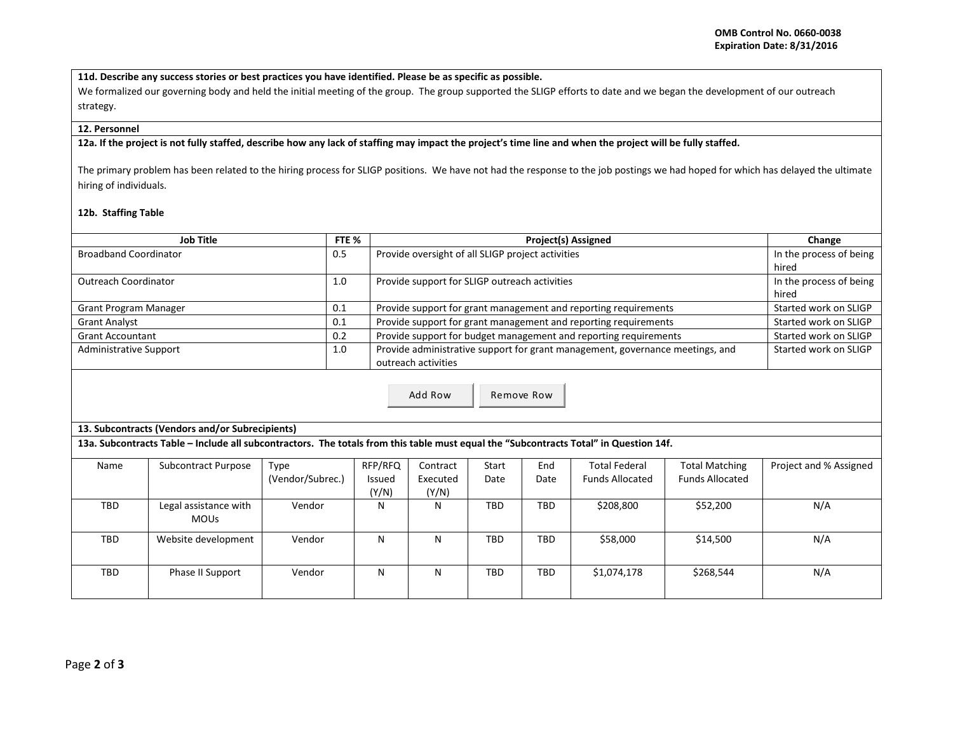**11d. Describe any success stories or best practices you have identified. Please be as specific as possible.**

We formalized our governing body and held the initial meeting of the group. The group supported the SLIGP efforts to date and we began the development of our outreach strategy.

## **12. Personnel**

## **12a. If the project is not fully staffed, describe how any lack of staffing may impact the project's time line and when the project will be fully staffed.**

The primary problem has been related to the hiring process for SLIGP positions. We have not had the response to the job postings we had hoped for which has delayed the ultimate hiring of individuals.

## **12b. Staffing Table**

| <b>Job Title</b>                                                                                                                      |                                      |                  | FTE <sub>%</sub>       | <b>Project(s) Assigned</b>                                                    |                         |            |                        |                        | Change                  |
|---------------------------------------------------------------------------------------------------------------------------------------|--------------------------------------|------------------|------------------------|-------------------------------------------------------------------------------|-------------------------|------------|------------------------|------------------------|-------------------------|
| <b>Broadband Coordinator</b>                                                                                                          |                                      |                  |                        | Provide oversight of all SLIGP project activities                             |                         |            |                        |                        | In the process of being |
|                                                                                                                                       |                                      |                  |                        |                                                                               | hired                   |            |                        |                        |                         |
| <b>Outreach Coordinator</b>                                                                                                           |                                      | 1.0              |                        | Provide support for SLIGP outreach activities                                 | In the process of being |            |                        |                        |                         |
|                                                                                                                                       |                                      |                  |                        |                                                                               | hired                   |            |                        |                        |                         |
| Grant Program Manager                                                                                                                 |                                      | 0.1              |                        | Provide support for grant management and reporting requirements               | Started work on SLIGP   |            |                        |                        |                         |
| <b>Grant Analyst</b>                                                                                                                  |                                      | 0.1              |                        | Provide support for grant management and reporting requirements               | Started work on SLIGP   |            |                        |                        |                         |
| <b>Grant Accountant</b>                                                                                                               |                                      | 0.2              |                        | Provide support for budget management and reporting requirements              | Started work on SLIGP   |            |                        |                        |                         |
| <b>Administrative Support</b>                                                                                                         |                                      |                  |                        | Provide administrative support for grant management, governance meetings, and | Started work on SLIGP   |            |                        |                        |                         |
|                                                                                                                                       |                                      |                  |                        | outreach activities                                                           |                         |            |                        |                        |                         |
| Add Row<br>Remove Row<br>13. Subcontracts (Vendors and/or Subrecipients)                                                              |                                      |                  |                        |                                                                               |                         |            |                        |                        |                         |
| 13a. Subcontracts Table - Include all subcontractors. The totals from this table must equal the "Subcontracts Total" in Question 14f. |                                      |                  |                        |                                                                               |                         |            |                        |                        |                         |
| Name                                                                                                                                  | <b>Subcontract Purpose</b>           | Type             | RFP/RFQ                | Contract                                                                      | Start                   | End        | <b>Total Federal</b>   | <b>Total Matching</b>  | Project and % Assigned  |
|                                                                                                                                       |                                      | (Vendor/Subrec.) | <b>Issued</b><br>(Y/N) | Executed<br>(Y/N)                                                             | Date                    | Date       | <b>Funds Allocated</b> | <b>Funds Allocated</b> |                         |
| <b>TBD</b>                                                                                                                            | Legal assistance with<br><b>MOUs</b> | Vendor           | N                      | N                                                                             | <b>TBD</b>              | <b>TBD</b> | \$208.800              | \$52,200               | N/A                     |
| <b>TBD</b>                                                                                                                            | Website development                  | Vendor           | N                      | N                                                                             | <b>TBD</b>              | <b>TBD</b> | \$58,000               | \$14,500               | N/A                     |
| <b>TBD</b>                                                                                                                            | Phase II Support                     | Vendor           | N                      | N                                                                             | <b>TBD</b>              | <b>TBD</b> | \$1,074,178            | \$268,544              | N/A                     |